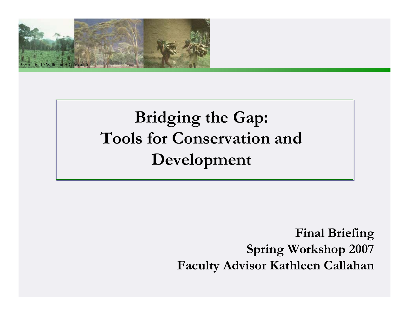

# **Bridging the Gap: Tools for Conservation and Development**

**Final Briefing Spring Workshop 2007 Faculty Advisor Kathleen Callahan**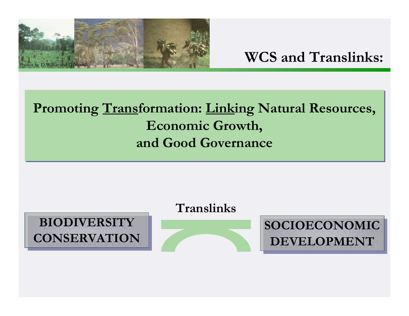

#### **Promoting Transformation: Linking Natural Resources, Promoting Transformation: Linking Natural Resources, Economic Growth, Economic Growth, and Good Governanceand Good Governance**

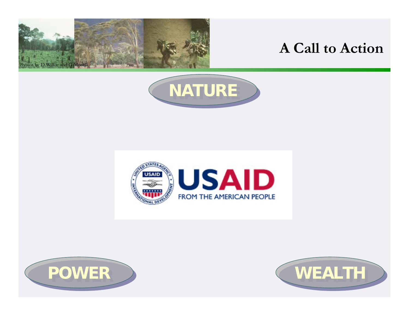

#### **A Call to Action**







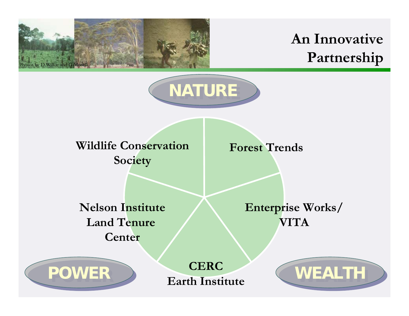

### **An Innovative Partnership**



**Wildlife ConservationSociety**

**Forest Trends**

**Nelson InstituteLand Tenure Center**

**POWER POWER**

**Enterprise Works/ VITA**

**CERCEarth Institute**

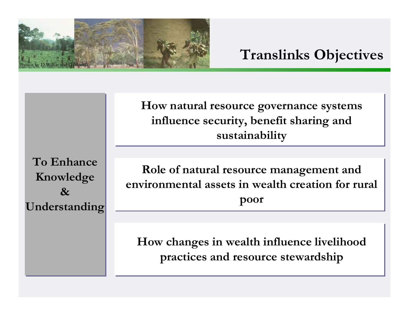

**How natural resource governance systems How natural resource governance systems influence security, benefit sharing and influence security, benefit sharing and sustainability sustainability**

**To Enhance To Enhance Knowledge Knowledge & & Understanding Understanding**

**Role of natural resource management and Role of natural resource management and environmental assets in wealth creation for rural environmental assets in wealth creation for rural poor poor** 

**How changes in wealth influence livelihood How changes in wealth influence livelihood practices and resource stewardship practices and resource stewardship**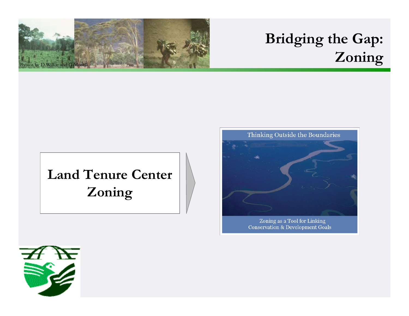

## **Bridging the Gap: Zoning**

# **Land Tenure Center Zoning**



**Conservation & Development Goals** 

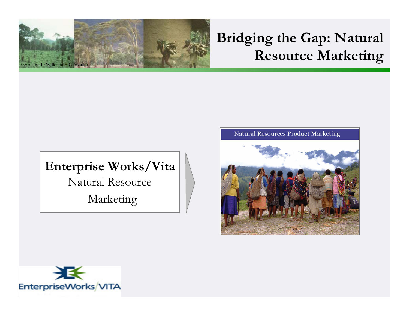

#### **Bridging the Gap: Natural Resource Marketing**

## **Enterprise Works/Vita** Natural Resource Marketing

#### **Natural Resources Product Marketing**



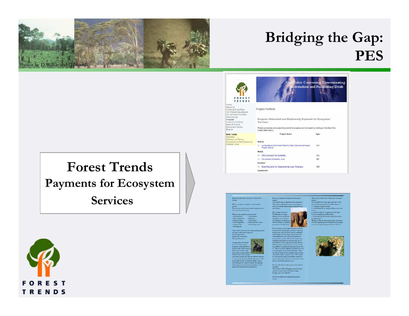

#### **Bridging the Gap: PES**

#### **Forest TrendsPayments for Ecosystem Services**



| o<br><b>NDS</b>                                                                                                                                         | c                                                                                                                                                                                                                            | Roles: Convening, Disseminating<br>formation and Facilitating Deals |
|---------------------------------------------------------------------------------------------------------------------------------------------------------|------------------------------------------------------------------------------------------------------------------------------------------------------------------------------------------------------------------------------|---------------------------------------------------------------------|
| ١ë<br>ut Us<br>is and Facilities<br>Project Developers<br>Service Providers<br>vodology<br>ects<br>acity Building<br>s & Events<br>ument Library<br>rch | Project Portfolio<br>Projects: Watershed and Biodiversity Payments for Ecosystem<br>Services<br>Project summaries and project documents for projects can be located by clicking on the title of the<br>project listed below. |                                                                     |
| Tools<br>desk<br>ssary of Terms<br>juently Asked Questions<br>asini i hnte                                                                              | Project Name                                                                                                                                                                                                                 | Type:                                                               |
|                                                                                                                                                         | <b>Bolivia:</b>                                                                                                                                                                                                              |                                                                     |
|                                                                                                                                                         | >> La Aguada and the Water Planting Water (Siembra del Agua)<br>Project, Bolvia                                                                                                                                              | WS:                                                                 |
|                                                                                                                                                         | Brazil:                                                                                                                                                                                                                      |                                                                     |
|                                                                                                                                                         | 30 ICMS Ecologico Tax Subsidies                                                                                                                                                                                              | WS:                                                                 |
|                                                                                                                                                         | 33: Covernment Subsidies: Ante                                                                                                                                                                                               | <b>BD</b>                                                           |
|                                                                                                                                                         | <b>Ecuador:</b>                                                                                                                                                                                                              |                                                                     |
|                                                                                                                                                         | >> Direct Payments for Watershed Services: Pinampiro                                                                                                                                                                         | WS.                                                                 |
|                                                                                                                                                         | Guatemala:                                                                                                                                                                                                                   |                                                                     |









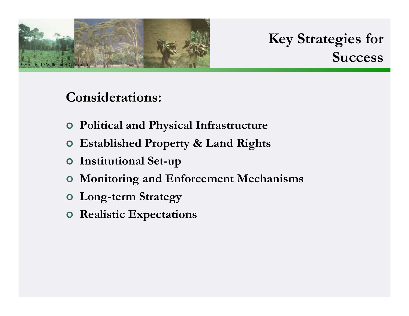

**Key Strategies for Success**

#### **Considerations:**

- | **Political and Physical Infrastructure**
- | **Established Property & Land Rights**
- | **Institutional Set-up**
- | **Monitoring and Enforcement Mechanisms**
- | **Long-term Strategy**
- | **Realistic Expectations**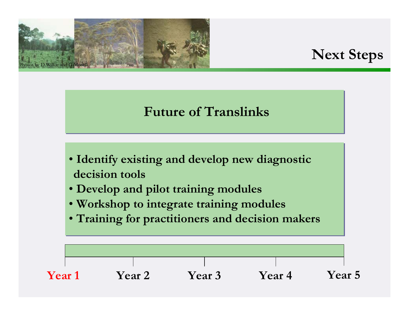

#### **Next Steps**

#### **Future of Translinks Future of Translinks**

- **Identify existing and develop new diagnostic Identify existing and develop new diagnostic decision toolsdecision tools**
- **Develop and pilot training modules Develop and pilot training modules**
- **Workshop to integrate training modules Workshop to integrate training modules**
- **Training for practitioners and decision makers Training for practitioners and decision makers**